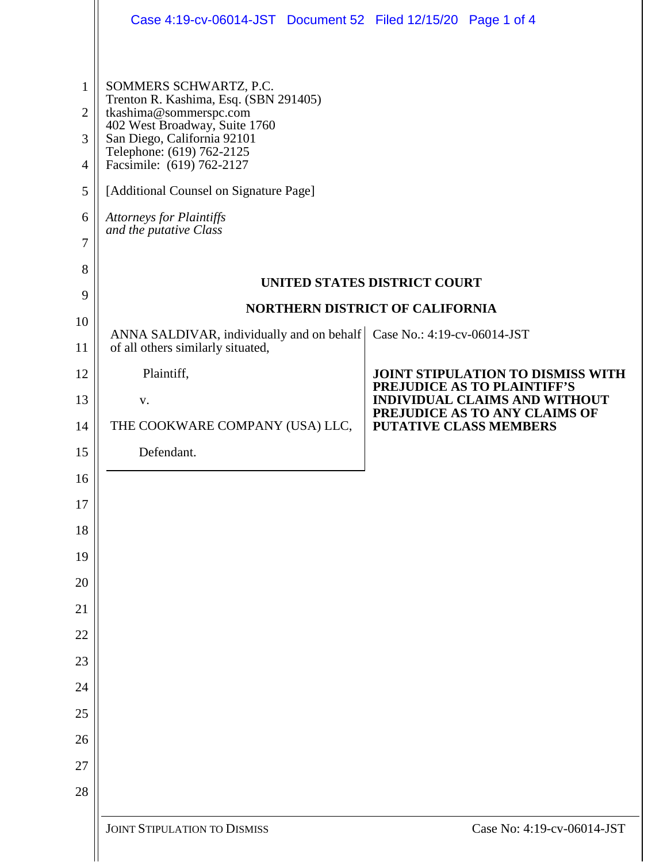|                                                           | Case 4:19-cv-06014-JST Document 52 Filed 12/15/20 Page 1 of 4                                                                                                                                                                                                                                                              |                               |                                                                     |  |  |
|-----------------------------------------------------------|----------------------------------------------------------------------------------------------------------------------------------------------------------------------------------------------------------------------------------------------------------------------------------------------------------------------------|-------------------------------|---------------------------------------------------------------------|--|--|
| 1<br>$\overline{2}$<br>3<br>$\overline{4}$<br>5<br>6<br>7 | SOMMERS SCHWARTZ, P.C.<br>Trenton R. Kashima, Esq. (SBN 291405)<br>tkashima@sommerspc.com<br>402 West Broadway, Suite 1760<br>San Diego, California 92101<br>Telephone: (619) 762-2125<br>Facsimile: (619) 762-2127<br>[Additional Counsel on Signature Page]<br><b>Attorneys for Plaintiffs</b><br>and the putative Class |                               |                                                                     |  |  |
| 8                                                         | UNITED STATES DISTRICT COURT                                                                                                                                                                                                                                                                                               |                               |                                                                     |  |  |
| 9                                                         | <b>NORTHERN DISTRICT OF CALIFORNIA</b>                                                                                                                                                                                                                                                                                     |                               |                                                                     |  |  |
| 10<br>11                                                  | ANNA SALDIVAR, individually and on behalf   Case No.: 4:19-cv-06014-JST<br>of all others similarly situated,                                                                                                                                                                                                               |                               |                                                                     |  |  |
| 12                                                        | Plaintiff,                                                                                                                                                                                                                                                                                                                 |                               | <b>JOINT STIPULATION TO DISMISS WITH</b>                            |  |  |
| 13                                                        | V.                                                                                                                                                                                                                                                                                                                         |                               | PREJUDICE AS TO PLAINTIFF'S<br><b>INDIVIDUAL CLAIMS AND WITHOUT</b> |  |  |
| 14                                                        | THE COOKWARE COMPANY (USA) LLC,                                                                                                                                                                                                                                                                                            | <b>PUTATIVE CLASS MEMBERS</b> | PREJUDICE AS TO ANY CLAIMS OF                                       |  |  |
| 15                                                        | Defendant.                                                                                                                                                                                                                                                                                                                 |                               |                                                                     |  |  |
| 16                                                        |                                                                                                                                                                                                                                                                                                                            |                               |                                                                     |  |  |
| 17                                                        |                                                                                                                                                                                                                                                                                                                            |                               |                                                                     |  |  |
| 18                                                        |                                                                                                                                                                                                                                                                                                                            |                               |                                                                     |  |  |
| 19                                                        |                                                                                                                                                                                                                                                                                                                            |                               |                                                                     |  |  |
| 20                                                        |                                                                                                                                                                                                                                                                                                                            |                               |                                                                     |  |  |
| 21                                                        |                                                                                                                                                                                                                                                                                                                            |                               |                                                                     |  |  |
| 22                                                        |                                                                                                                                                                                                                                                                                                                            |                               |                                                                     |  |  |
| 23                                                        |                                                                                                                                                                                                                                                                                                                            |                               |                                                                     |  |  |
| 24<br>25                                                  |                                                                                                                                                                                                                                                                                                                            |                               |                                                                     |  |  |
| 26                                                        |                                                                                                                                                                                                                                                                                                                            |                               |                                                                     |  |  |
| 27                                                        |                                                                                                                                                                                                                                                                                                                            |                               |                                                                     |  |  |
| 28                                                        |                                                                                                                                                                                                                                                                                                                            |                               |                                                                     |  |  |
|                                                           | <b>JOINT STIPULATION TO DISMISS</b>                                                                                                                                                                                                                                                                                        |                               | Case No: 4:19-cv-06014-JST                                          |  |  |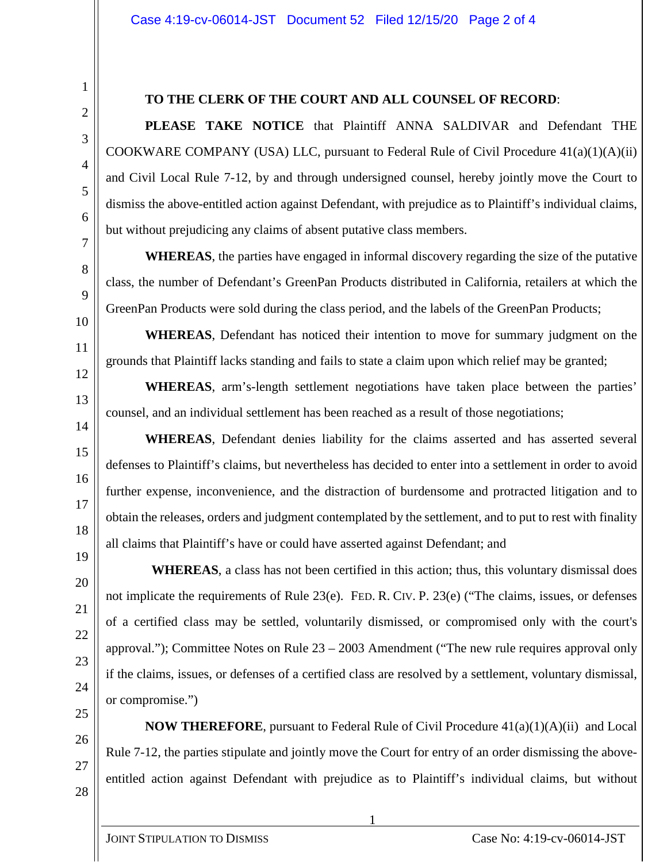## **TO THE CLERK OF THE COURT AND ALL COUNSEL OF RECORD**:

**PLEASE TAKE NOTICE** that Plaintiff ANNA SALDIVAR and Defendant THE COOKWARE COMPANY (USA) LLC, pursuant to Federal Rule of Civil Procedure  $41(a)(1)(A)(ii)$ and Civil Local Rule 7-12, by and through undersigned counsel, hereby jointly move the Court to dismiss the above-entitled action against Defendant, with prejudice as to Plaintiff's individual claims, but without prejudicing any claims of absent putative class members.

**WHEREAS**, the parties have engaged in informal discovery regarding the size of the putative class, the number of Defendant's GreenPan Products distributed in California, retailers at which the GreenPan Products were sold during the class period, and the labels of the GreenPan Products;

**WHEREAS**, Defendant has noticed their intention to move for summary judgment on the grounds that Plaintiff lacks standing and fails to state a claim upon which relief may be granted;

**WHEREAS**, arm's-length settlement negotiations have taken place between the parties' counsel, and an individual settlement has been reached as a result of those negotiations;

**WHEREAS**, Defendant denies liability for the claims asserted and has asserted several defenses to Plaintiff's claims, but nevertheless has decided to enter into a settlement in order to avoid further expense, inconvenience, and the distraction of burdensome and protracted litigation and to obtain the releases, orders and judgment contemplated by the settlement, and to put to rest with finality all claims that Plaintiff's have or could have asserted against Defendant; and

 **WHEREAS**, a class has not been certified in this action; thus, this voluntary dismissal does not implicate the requirements of Rule 23(e). FED. R. CIV. P. 23(e) ("The claims, issues, or defenses of a certified class may be settled, voluntarily dismissed, or compromised only with the court's approval."); Committee Notes on Rule 23 – 2003 Amendment ("The new rule requires approval only if the claims, issues, or defenses of a certified class are resolved by a settlement, voluntary dismissal, or compromise.")

**NOW THEREFORE**, pursuant to Federal Rule of Civil Procedure 41(a)(1)(A)(ii) and Local Rule 7-12, the parties stipulate and jointly move the Court for entry of an order dismissing the aboveentitled action against Defendant with prejudice as to Plaintiff's individual claims, but without

1

1

2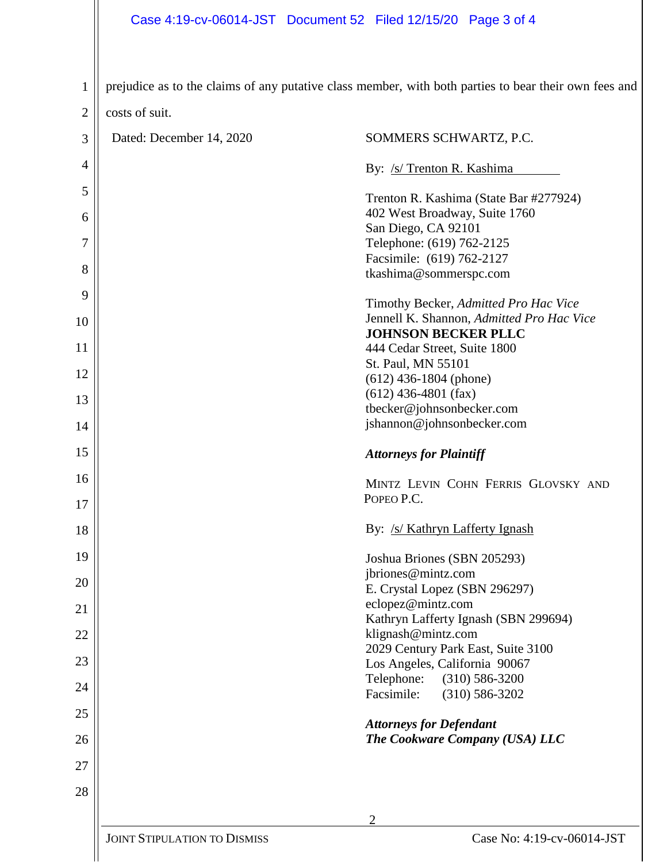| $\mathbf{1}$   |                                     | prejudice as to the claims of any putative class member, with both parties to bear their own fees and |  |
|----------------|-------------------------------------|-------------------------------------------------------------------------------------------------------|--|
| $\overline{2}$ | costs of suit.                      |                                                                                                       |  |
| 3              | Dated: December 14, 2020            | SOMMERS SCHWARTZ, P.C.                                                                                |  |
| 4              |                                     |                                                                                                       |  |
| 5              |                                     | By: /s/ Trenton R. Kashima                                                                            |  |
|                |                                     | Trenton R. Kashima (State Bar #277924)<br>402 West Broadway, Suite 1760                               |  |
| 6              |                                     | San Diego, CA 92101                                                                                   |  |
| 7              |                                     | Telephone: (619) 762-2125<br>Facsimile: (619) 762-2127                                                |  |
| 8              |                                     | tkashima@sommerspc.com                                                                                |  |
| 9              |                                     | Timothy Becker, Admitted Pro Hac Vice                                                                 |  |
| 10             |                                     | Jennell K. Shannon, Admitted Pro Hac Vice                                                             |  |
| 11             |                                     | <b>JOHNSON BECKER PLLC</b><br>444 Cedar Street, Suite 1800                                            |  |
|                |                                     | St. Paul, MN 55101                                                                                    |  |
| 12             |                                     | $(612)$ 436-1804 (phone)                                                                              |  |
| 13             |                                     | $(612)$ 436-4801 (fax)                                                                                |  |
| 14             |                                     | tbecker@johnsonbecker.com<br>jshannon@johnsonbecker.com                                               |  |
| 15             |                                     | <b>Attorneys for Plaintiff</b>                                                                        |  |
| 16             |                                     | MINTZ LEVIN COHN FERRIS GLOVSKY AND                                                                   |  |
| 17             |                                     | POPEO P.C.                                                                                            |  |
| 18             |                                     | By: /s/ Kathryn Lafferty Ignash                                                                       |  |
| 19             |                                     | Joshua Briones (SBN 205293)                                                                           |  |
| 20             |                                     | jbriones@mintz.com<br>E. Crystal Lopez (SBN 296297)                                                   |  |
|                |                                     | eclopez@mintz.com                                                                                     |  |
| 21             |                                     | Kathryn Lafferty Ignash (SBN 299694)                                                                  |  |
| 22             |                                     | klignash@mintz.com                                                                                    |  |
| 23             |                                     | 2029 Century Park East, Suite 3100<br>Los Angeles, California 90067                                   |  |
| 24             |                                     | Telephone:<br>$(310) 586 - 3200$                                                                      |  |
| 25             |                                     | Facsimile:<br>$(310) 586 - 3202$                                                                      |  |
|                |                                     | <b>Attorneys for Defendant</b>                                                                        |  |
| 26             |                                     | The Cookware Company (USA) LLC                                                                        |  |
| 27             |                                     |                                                                                                       |  |
| 28             |                                     |                                                                                                       |  |
|                | $\mathfrak{D}$                      |                                                                                                       |  |
|                | <b>JOINT STIPULATION TO DISMISS</b> | Case No: 4:19-cv-06014-JST                                                                            |  |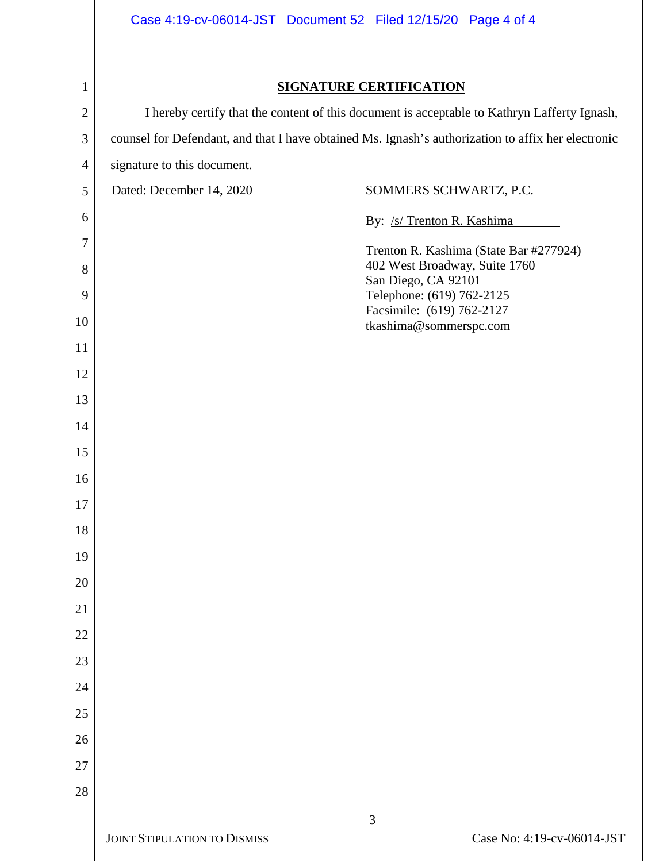| $\mathbf{1}$   | <b>SIGNATURE CERTIFICATION</b>                                                               |                                                                                                    |  |  |
|----------------|----------------------------------------------------------------------------------------------|----------------------------------------------------------------------------------------------------|--|--|
| $\mathbf{2}$   | I hereby certify that the content of this document is acceptable to Kathryn Lafferty Ignash, |                                                                                                    |  |  |
| 3              |                                                                                              | counsel for Defendant, and that I have obtained Ms. Ignash's authorization to affix her electronic |  |  |
| $\overline{4}$ | signature to this document.                                                                  |                                                                                                    |  |  |
| 5              | Dated: December 14, 2020                                                                     | SOMMERS SCHWARTZ, P.C.                                                                             |  |  |
| 6              |                                                                                              | By: /s/ Trenton R. Kashima                                                                         |  |  |
| 7              |                                                                                              | Trenton R. Kashima (State Bar #277924)                                                             |  |  |
| 8<br>9         |                                                                                              | 402 West Broadway, Suite 1760<br>San Diego, CA 92101<br>Telephone: (619) 762-2125                  |  |  |
| 10             |                                                                                              | Facsimile: (619) 762-2127<br>tkashima@sommerspc.com                                                |  |  |
| 11             |                                                                                              |                                                                                                    |  |  |
| 12             |                                                                                              |                                                                                                    |  |  |
| 13             |                                                                                              |                                                                                                    |  |  |
| 14             |                                                                                              |                                                                                                    |  |  |
| 15             |                                                                                              |                                                                                                    |  |  |
| 16             |                                                                                              |                                                                                                    |  |  |
| 17             |                                                                                              |                                                                                                    |  |  |
| 18             |                                                                                              |                                                                                                    |  |  |
| 19             |                                                                                              |                                                                                                    |  |  |
| 20             |                                                                                              |                                                                                                    |  |  |
| 21             |                                                                                              |                                                                                                    |  |  |
| 22             |                                                                                              |                                                                                                    |  |  |
| 23             |                                                                                              |                                                                                                    |  |  |
| 24             |                                                                                              |                                                                                                    |  |  |
| 25             |                                                                                              |                                                                                                    |  |  |
| 26             |                                                                                              |                                                                                                    |  |  |
| 27             |                                                                                              |                                                                                                    |  |  |
| 28             |                                                                                              |                                                                                                    |  |  |
|                |                                                                                              | 3                                                                                                  |  |  |
|                | <b>JOINT STIPULATION TO DISMISS</b>                                                          | Case No: 4:19-cv-06014-JST                                                                         |  |  |
|                |                                                                                              |                                                                                                    |  |  |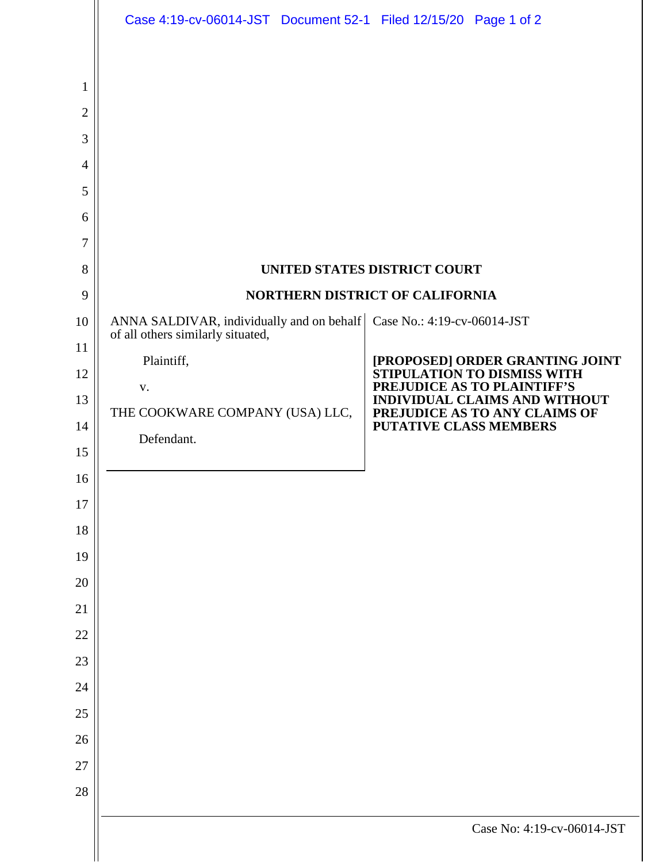|                                                           | Case 4:19-cv-06014-JST Document 52-1 Filed 12/15/20 Page 1 of 2                                                 |  |                                                                                                                                                                                                  |  |
|-----------------------------------------------------------|-----------------------------------------------------------------------------------------------------------------|--|--------------------------------------------------------------------------------------------------------------------------------------------------------------------------------------------------|--|
| 1<br>$\overline{2}$<br>3<br>$\overline{4}$<br>5<br>6<br>7 |                                                                                                                 |  |                                                                                                                                                                                                  |  |
| 8<br>9                                                    | UNITED STATES DISTRICT COURT<br>NORTHERN DISTRICT OF CALIFORNIA                                                 |  |                                                                                                                                                                                                  |  |
| 10                                                        | ANNA SALDIVAR, individually and on behalf   Case No.: 4:19-cv-06014-JST                                         |  |                                                                                                                                                                                                  |  |
| 11<br>12<br>13<br>14<br>15<br>16<br>17<br>18              | of all others similarly situated,<br>Plaintiff,<br>${\bf V}$ .<br>THE COOKWARE COMPANY (USA) LLC,<br>Defendant. |  | [PROPOSED] ORDER GRANTING JOINT<br>STIPULATION TO DISMISS WITH<br>PREJUDICE AS TO PLAINTIFF'S<br>INDIVIDUAL CLAIMS AND WITHOUT<br>PREJUDICE AS TO ANY CLAIMS OF<br><b>PUTATIVE CLASS MEMBERS</b> |  |
| 19<br>20                                                  |                                                                                                                 |  |                                                                                                                                                                                                  |  |
| 21                                                        |                                                                                                                 |  |                                                                                                                                                                                                  |  |
| 22                                                        |                                                                                                                 |  |                                                                                                                                                                                                  |  |
| 23                                                        |                                                                                                                 |  |                                                                                                                                                                                                  |  |
| 24<br>$25\,$                                              |                                                                                                                 |  |                                                                                                                                                                                                  |  |
| 26                                                        |                                                                                                                 |  |                                                                                                                                                                                                  |  |
| $27\,$                                                    |                                                                                                                 |  |                                                                                                                                                                                                  |  |
| 28                                                        |                                                                                                                 |  |                                                                                                                                                                                                  |  |
|                                                           |                                                                                                                 |  | Case No: 4:19-cv-06014-JST                                                                                                                                                                       |  |